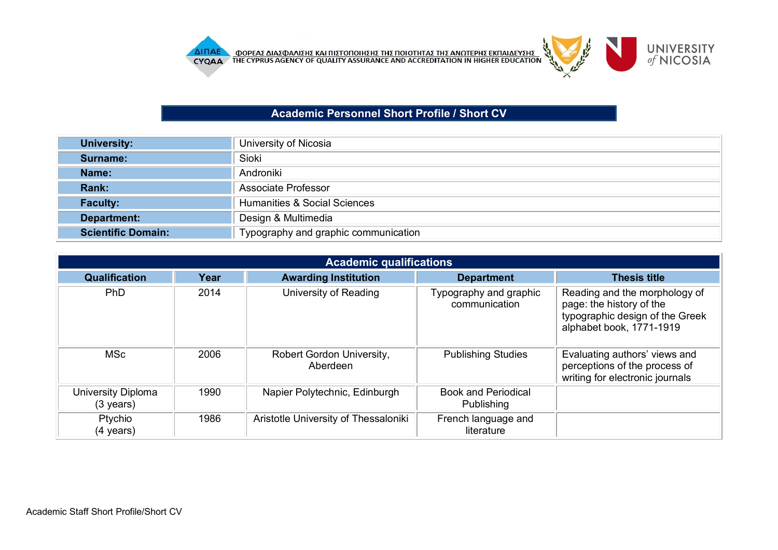

## **Academic Personnel Short Profile / Short CV**

| <b>University:</b>        | University of Nicosia                   |
|---------------------------|-----------------------------------------|
| Surname:                  | Sioki                                   |
| Name:                     | Androniki                               |
| Rank:                     | Associate Professor                     |
| <b>Faculty:</b>           | <b>Humanities &amp; Social Sciences</b> |
| Department:               | Design & Multimedia                     |
| <b>Scientific Domain:</b> | Typography and graphic communication    |

|                                           | <b>Academic qualifications</b> |                                       |                                          |                                                                                                                          |  |  |
|-------------------------------------------|--------------------------------|---------------------------------------|------------------------------------------|--------------------------------------------------------------------------------------------------------------------------|--|--|
| <b>Qualification</b>                      | Year                           | <b>Awarding Institution</b>           | <b>Department</b>                        | <b>Thesis title</b>                                                                                                      |  |  |
| <b>PhD</b>                                | 2014                           | University of Reading                 | Typography and graphic<br>communication  | Reading and the morphology of<br>page: the history of the<br>typographic design of the Greek<br>alphabet book, 1771-1919 |  |  |
| <b>MSc</b>                                | 2006                           | Robert Gordon University,<br>Aberdeen | <b>Publishing Studies</b>                | Evaluating authors' views and<br>perceptions of the process of<br>writing for electronic journals                        |  |  |
| University Diploma<br>$(3 \text{ years})$ | 1990                           | Napier Polytechnic, Edinburgh         | <b>Book and Periodical</b><br>Publishing |                                                                                                                          |  |  |
| Ptychio<br>$(4 \text{ years})$            | 1986                           | Aristotle University of Thessaloniki  | French language and<br>literature        |                                                                                                                          |  |  |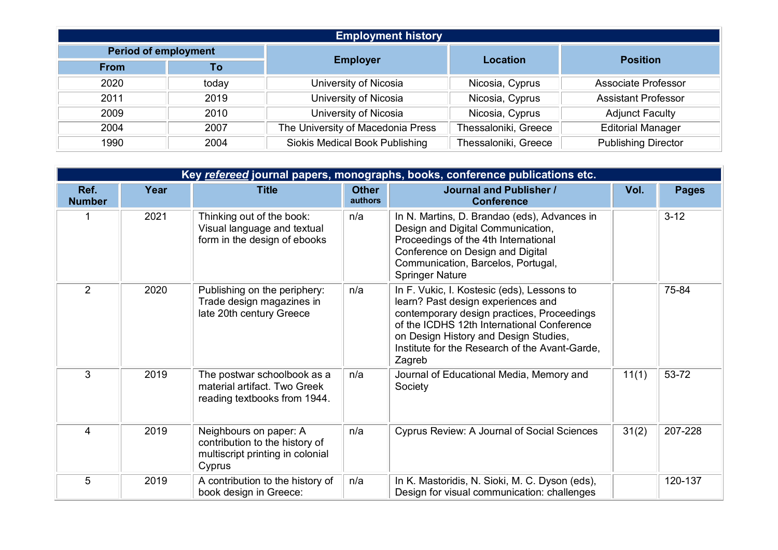| <b>Employment history</b> |       |                                       |                      |                            |  |
|---------------------------|-------|---------------------------------------|----------------------|----------------------------|--|
| Period of employment      |       |                                       |                      |                            |  |
| <b>From</b>               | To    | <b>Employer</b>                       | <b>Location</b>      | <b>Position</b>            |  |
| 2020                      | today | University of Nicosia                 | Nicosia, Cyprus      | <b>Associate Professor</b> |  |
| 2011                      | 2019  | University of Nicosia                 | Nicosia, Cyprus      | <b>Assistant Professor</b> |  |
| 2009                      | 2010  | University of Nicosia                 | Nicosia, Cyprus      | <b>Adjunct Faculty</b>     |  |
| 2004                      | 2007  | The University of Macedonia Press     | Thessaloniki, Greece | <b>Editorial Manager</b>   |  |
| 1990                      | 2004  | <b>Siokis Medical Book Publishing</b> | Thessaloniki, Greece | <b>Publishing Director</b> |  |

|                       | Key refereed journal papers, monographs, books, conference publications etc. |                                                                                                        |                         |                                                                                                                                                                                                                                                                                   |       |              |  |  |
|-----------------------|------------------------------------------------------------------------------|--------------------------------------------------------------------------------------------------------|-------------------------|-----------------------------------------------------------------------------------------------------------------------------------------------------------------------------------------------------------------------------------------------------------------------------------|-------|--------------|--|--|
| Ref.<br><b>Number</b> | Year                                                                         | <b>Title</b>                                                                                           | <b>Other</b><br>authors | <b>Journal and Publisher /</b><br><b>Conference</b>                                                                                                                                                                                                                               | Vol.  | <b>Pages</b> |  |  |
|                       | 2021                                                                         | Thinking out of the book:<br>Visual language and textual<br>form in the design of ebooks               | n/a                     | In N. Martins, D. Brandao (eds), Advances in<br>Design and Digital Communication,<br>Proceedings of the 4th International<br>Conference on Design and Digital<br>Communication, Barcelos, Portugal,<br><b>Springer Nature</b>                                                     |       | $3-12$       |  |  |
| $\overline{2}$        | 2020                                                                         | Publishing on the periphery:<br>Trade design magazines in<br>late 20th century Greece                  | n/a                     | In F. Vukic, I. Kostesic (eds), Lessons to<br>learn? Past design experiences and<br>contemporary design practices, Proceedings<br>of the ICDHS 12th International Conference<br>on Design History and Design Studies,<br>Institute for the Research of the Avant-Garde,<br>Zagreb |       | 75-84        |  |  |
| 3                     | 2019                                                                         | The postwar schoolbook as a<br>material artifact. Two Greek<br>reading textbooks from 1944.            | n/a                     | Journal of Educational Media, Memory and<br>Society                                                                                                                                                                                                                               | 11(1) | 53-72        |  |  |
| 4                     | 2019                                                                         | Neighbours on paper: A<br>contribution to the history of<br>multiscript printing in colonial<br>Cyprus | n/a                     | Cyprus Review: A Journal of Social Sciences                                                                                                                                                                                                                                       | 31(2) | 207-228      |  |  |
| 5                     | 2019                                                                         | A contribution to the history of<br>book design in Greece:                                             | n/a                     | In K. Mastoridis, N. Sioki, M. C. Dyson (eds),<br>Design for visual communication: challenges                                                                                                                                                                                     |       | 120-137      |  |  |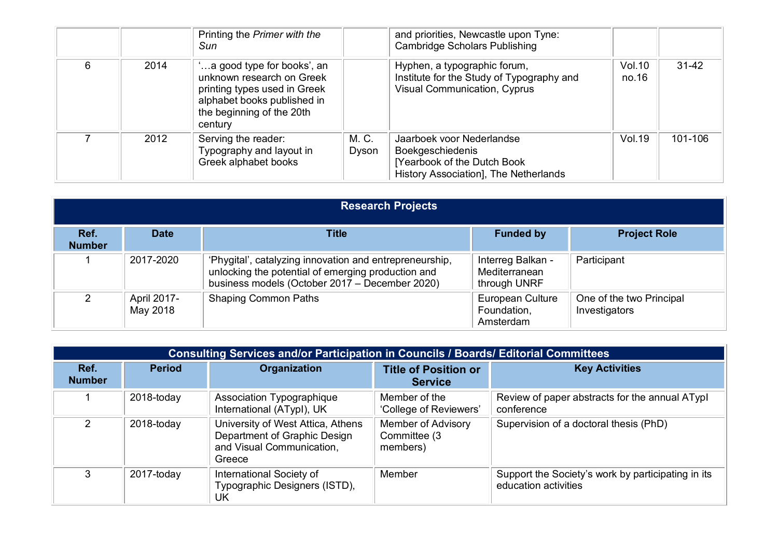|   |      | Printing the Primer with the<br>Sun                                                                                                                            |                | and priorities, Newcastle upon Tyne:<br><b>Cambridge Scholars Publishing</b>                                                  |                 |           |
|---|------|----------------------------------------------------------------------------------------------------------------------------------------------------------------|----------------|-------------------------------------------------------------------------------------------------------------------------------|-----------------|-----------|
| 6 | 2014 | a good type for books', an<br>unknown research on Greek<br>printing types used in Greek<br>alphabet books published in<br>the beginning of the 20th<br>century |                | Hyphen, a typographic forum,<br>Institute for the Study of Typography and<br><b>Visual Communication, Cyprus</b>              | Vol.10<br>no.16 | $31 - 42$ |
|   | 2012 | Serving the reader:<br>Typography and layout in<br>Greek alphabet books                                                                                        | M. C.<br>Dyson | Jaarboek voor Nederlandse<br><b>Boekgeschiedenis</b><br>[Yearbook of the Dutch Book]<br>History Association], The Netherlands | Vol.19          | 101-106   |

|                       | <b>Research Projects</b> |                                                                                                                                                                 |                                                     |                                           |  |  |
|-----------------------|--------------------------|-----------------------------------------------------------------------------------------------------------------------------------------------------------------|-----------------------------------------------------|-------------------------------------------|--|--|
| Ref.<br><b>Number</b> | <b>Date</b>              | Title                                                                                                                                                           | <b>Funded by</b>                                    | <b>Project Role</b>                       |  |  |
|                       | 2017-2020                | 'Phygital', catalyzing innovation and entrepreneurship,<br>unlocking the potential of emerging production and<br>business models (October 2017 – December 2020) | Interreg Balkan -<br>Mediterranean<br>through UNRF  | Participant                               |  |  |
| ົ                     | April 2017-<br>May 2018  | <b>Shaping Common Paths</b>                                                                                                                                     | <b>European Culture</b><br>Foundation,<br>Amsterdam | One of the two Principal<br>Investigators |  |  |

|                       | <b>Consulting Services and/or Participation in Councils / Boards/ Editorial Committees</b> |                                                                                                          |                                                       |                                                                            |  |  |
|-----------------------|--------------------------------------------------------------------------------------------|----------------------------------------------------------------------------------------------------------|-------------------------------------------------------|----------------------------------------------------------------------------|--|--|
| Ref.<br><b>Number</b> | <b>Period</b>                                                                              | Organization                                                                                             | <b>Title of Position or</b><br><b>Service</b>         | <b>Key Activities</b>                                                      |  |  |
|                       | 2018-today                                                                                 | Association Typographique<br>International (ATypl), UK                                                   | Member of the<br>'College of Reviewers'               | Review of paper abstracts for the annual ATypl<br>conference               |  |  |
| $\mathcal{P}$         | 2018-today                                                                                 | University of West Attica, Athens<br>Department of Graphic Design<br>and Visual Communication,<br>Greece | <b>Member of Advisory</b><br>Committee (3<br>members) | Supervision of a doctoral thesis (PhD)                                     |  |  |
| 3                     | 2017-today                                                                                 | International Society of<br>Typographic Designers (ISTD),<br>UK                                          | Member                                                | Support the Society's work by participating in its<br>education activities |  |  |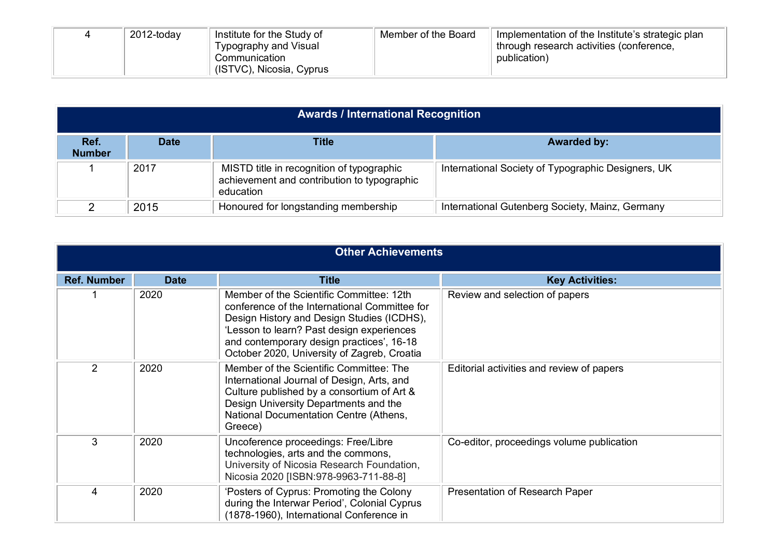|  | 2012-today | Institute for the Study of | Member of the Board | Implementation of the Institute's strategic plan |
|--|------------|----------------------------|---------------------|--------------------------------------------------|
|  |            | Typography and Visual      |                     | through research activities (conference,         |
|  |            | Communication              |                     | publication)                                     |
|  |            | (ISTVC), Nicosia, Cyprus   |                     |                                                  |

|                       | <b>Awards / International Recognition</b> |                                                                                                       |                                                    |  |  |  |
|-----------------------|-------------------------------------------|-------------------------------------------------------------------------------------------------------|----------------------------------------------------|--|--|--|
| Ref.<br><b>Number</b> | <b>Date</b>                               | <b>Title</b>                                                                                          | <b>Awarded by:</b>                                 |  |  |  |
|                       | 2017                                      | MISTD title in recognition of typographic<br>achievement and contribution to typographic<br>education | International Society of Typographic Designers, UK |  |  |  |
|                       | 2015                                      | Honoured for longstanding membership                                                                  | International Gutenberg Society, Mainz, Germany    |  |  |  |

|                    | <b>Other Achievements</b> |                                                                                                                                                                                                                                                                                  |                                           |  |  |  |
|--------------------|---------------------------|----------------------------------------------------------------------------------------------------------------------------------------------------------------------------------------------------------------------------------------------------------------------------------|-------------------------------------------|--|--|--|
| <b>Ref. Number</b> | <b>Date</b>               | <b>Title</b>                                                                                                                                                                                                                                                                     | <b>Key Activities:</b>                    |  |  |  |
|                    | 2020                      | Member of the Scientific Committee: 12th<br>conference of the International Committee for<br>Design History and Design Studies (ICDHS),<br>'Lesson to learn? Past design experiences<br>and contemporary design practices', 16-18<br>October 2020, University of Zagreb, Croatia | Review and selection of papers            |  |  |  |
| 2                  | 2020                      | Member of the Scientific Committee: The<br>International Journal of Design, Arts, and<br>Culture published by a consortium of Art &<br>Design University Departments and the<br>National Documentation Centre (Athens,<br>Greece)                                                | Editorial activities and review of papers |  |  |  |
| 3                  | 2020                      | Uncoference proceedings: Free/Libre<br>technologies, arts and the commons,<br>University of Nicosia Research Foundation,<br>Nicosia 2020 [ISBN:978-9963-711-88-8]                                                                                                                | Co-editor, proceedings volume publication |  |  |  |
| $\overline{4}$     | 2020                      | 'Posters of Cyprus: Promoting the Colony<br>during the Interwar Period', Colonial Cyprus<br>(1878-1960), International Conference in                                                                                                                                             | Presentation of Research Paper            |  |  |  |